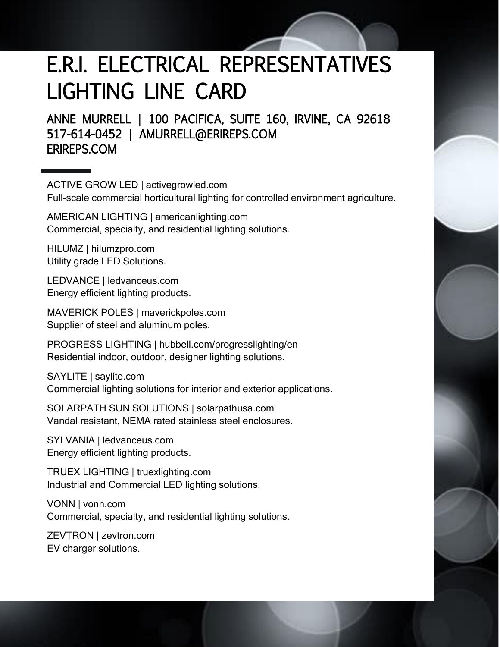## E.R.I. ELECTRICAL REPRESENTATIVES LIGHTING LINE CARD

ANNE MURRELL | 100 PACIFICA, SUITE 160, IRVINE, CA 92618 517-614-0452 | AMURRELL@ERIREPS.COM ERIREPS.COM

ACTIVE GROW LED | activegrowled.com Full-scale commercial horticultural lighting for controlled environment agriculture.

AMERICAN LIGHTING | americanlighting.com Commercial, specialty, and residential lighting solutions.

HILUMZ | hilumzpro.com Utility grade LED Solutions.

LEDVANCE | ledvanceus.com Energy efficient lighting products.

MAVERICK POLES | maverickpoles.com Supplier of steel and aluminum poles.

PROGRESS LIGHTING | hubbell.com/progresslighting/en Residential indoor, outdoor, designer lighting solutions.

SAYLITE | saylite.com Commercial lighting solutions for interior and exterior applications.

SOLARPATH SUN SOLUTIONS | solarpathusa.com Vandal resistant, NEMA rated stainless steel enclosures.

SYLVANIA | ledvanceus.com Energy efficient lighting products.

TRUEX LIGHTING | truexlighting.com Industrial and Commercial LED lighting solutions.

VONN | vonn.com Commercial, specialty, and residential lighting solutions.

ZEVTRON | zevtron.com EV charger solutions.